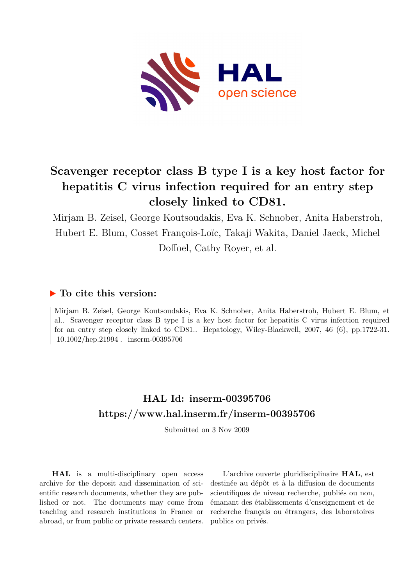

## **Scavenger receptor class B type I is a key host factor for hepatitis C virus infection required for an entry step closely linked to CD81.**

Mirjam B. Zeisel, George Koutsoudakis, Eva K. Schnober, Anita Haberstroh, Hubert E. Blum, Cosset François-Loïc, Takaji Wakita, Daniel Jaeck, Michel Doffoel, Cathy Royer, et al.

## **To cite this version:**

Mirjam B. Zeisel, George Koutsoudakis, Eva K. Schnober, Anita Haberstroh, Hubert E. Blum, et al.. Scavenger receptor class B type I is a key host factor for hepatitis C virus infection required for an entry step closely linked to CD81.. Hepatology, Wiley-Blackwell, 2007, 46 (6), pp.1722-31.  $10.1002/hep.21994$ . inserm-00395706

## **HAL Id: inserm-00395706 <https://www.hal.inserm.fr/inserm-00395706>**

Submitted on 3 Nov 2009

**HAL** is a multi-disciplinary open access archive for the deposit and dissemination of scientific research documents, whether they are published or not. The documents may come from teaching and research institutions in France or abroad, or from public or private research centers.

L'archive ouverte pluridisciplinaire **HAL**, est destinée au dépôt et à la diffusion de documents scientifiques de niveau recherche, publiés ou non, émanant des établissements d'enseignement et de recherche français ou étrangers, des laboratoires publics ou privés.